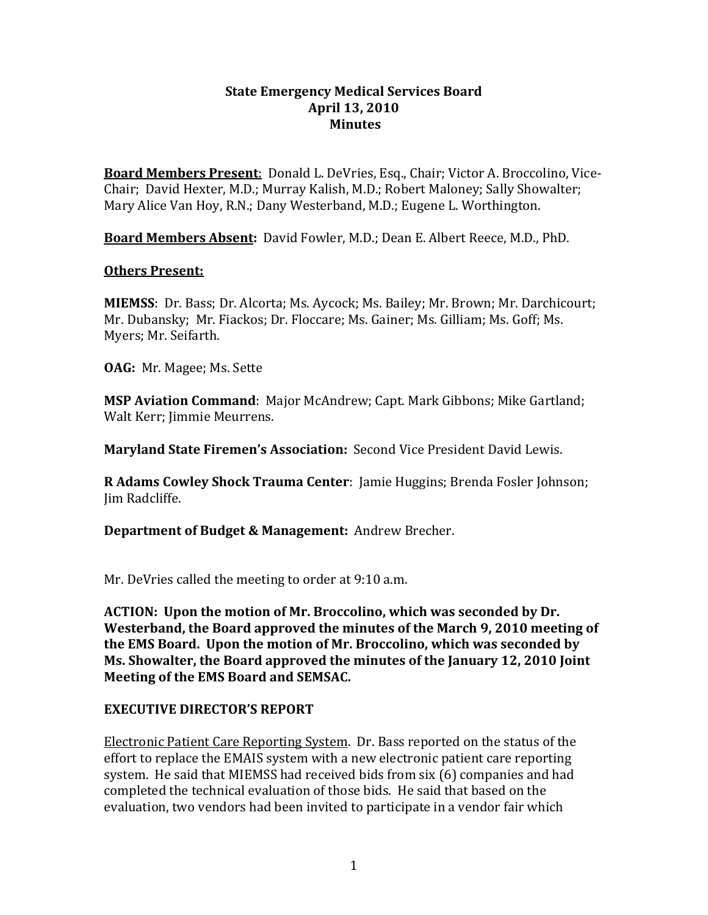#### **State Emergency Medical Services Board April 13, 2010 Minutes**

**Board Members Present**: Donald L. DeVries, Esq., Chair; Victor A. Broccolino, Vice-Chair; David Hexter, M.D.; Murray Kalish, M.D.; Robert Maloney; Sally Showalter; Mary Alice Van Hoy, R.N.; Dany Westerband, M.D.; Eugene L. Worthington.

**Board Members Absent:** David Fowler, M.D.; Dean E. Albert Reece, M.D., PhD.

#### **Others Present:**

**MIEMSS**: Dr. Bass; Dr. Alcorta; Ms. Aycock; Ms. Bailey; Mr. Brown; Mr. Darchicourt; Mr. Dubansky; Mr. Fiackos; Dr. Floccare; Ms. Gainer; Ms. Gilliam; Ms. Goff; Ms. Myers; Mr. Seifarth.

**OAG:** Mr. Magee; Ms. Sette

**MSP Aviation Command**: Major McAndrew; Capt. Mark Gibbons; Mike Gartland; Walt Kerr; Jimmie Meurrens.

**Maryland State Firemen's Association:** Second Vice President David Lewis.

**R Adams Cowley Shock Trauma Center**: Jamie Huggins; Brenda Fosler Johnson; Jim Radcliffe.

**Department of Budget & Management:** Andrew Brecher.

Mr. DeVries called the meeting to order at 9:10 a.m.

**ACTION: Upon the motion of Mr. Broccolino, which was seconded by Dr. Westerband, the Board approved the minutes of the March 9, 2010 meeting of the EMS Board. Upon the motion of Mr. Broccolino, which was seconded by Ms. Showalter, the Board approved the minutes of the January 12, 2010 Joint Meeting of the EMS Board and SEMSAC.**

### **EXECUTIVE DIRECTOR'S REPORT**

Electronic Patient Care Reporting System. Dr. Bass reported on the status of the effort to replace the EMAIS system with a new electronic patient care reporting system. He said that MIEMSS had received bids from six (6) companies and had completed the technical evaluation of those bids. He said that based on the evaluation, two vendors had been invited to participate in a vendor fair which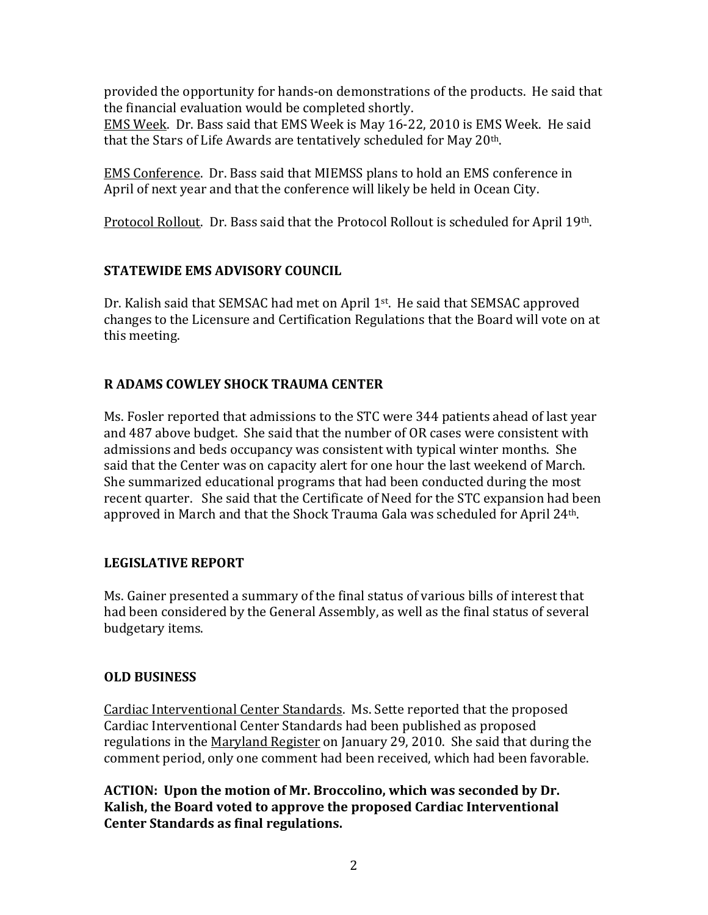provided the opportunity for hands-on demonstrations of the products. He said that the financial evaluation would be completed shortly. EMS Week. Dr. Bass said that EMS Week is May 16-22, 2010 is EMS Week. He said that the Stars of Life Awards are tentatively scheduled for May 20<sup>th</sup>.

EMS Conference. Dr. Bass said that MIEMSS plans to hold an EMS conference in April of next year and that the conference will likely be held in Ocean City.

Protocol Rollout. Dr. Bass said that the Protocol Rollout is scheduled for April 19th.

# **STATEWIDE EMS ADVISORY COUNCIL**

Dr. Kalish said that SEMSAC had met on April 1<sup>st</sup>. He said that SEMSAC approved changes to the Licensure and Certification Regulations that the Board will vote on at this meeting.

# **R ADAMS COWLEY SHOCK TRAUMA CENTER**

Ms. Fosler reported that admissions to the STC were 344 patients ahead of last year and 487 above budget. She said that the number of OR cases were consistent with admissions and beds occupancy was consistent with typical winter months. She said that the Center was on capacity alert for one hour the last weekend of March. She summarized educational programs that had been conducted during the most recent quarter. She said that the Certificate of Need for the STC expansion had been approved in March and that the Shock Trauma Gala was scheduled for April 24th.

# **LEGISLATIVE REPORT**

Ms. Gainer presented a summary of the final status of various bills of interest that had been considered by the General Assembly, as well as the final status of several budgetary items.

# **OLD BUSINESS**

Cardiac Interventional Center Standards. Ms. Sette reported that the proposed Cardiac Interventional Center Standards had been published as proposed regulations in the Maryland Register on January 29, 2010. She said that during the comment period, only one comment had been received, which had been favorable.

**ACTION: Upon the motion of Mr. Broccolino, which was seconded by Dr. Kalish, the Board voted to approve the proposed Cardiac Interventional Center Standards as final regulations.**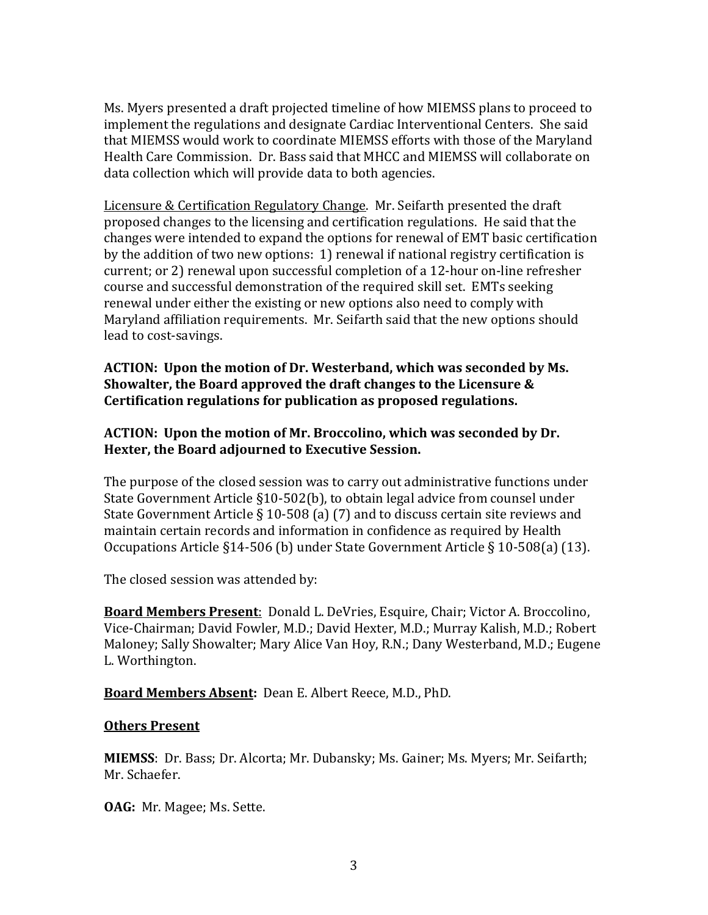Ms. Myers presented a draft projected timeline of how MIEMSS plans to proceed to implement the regulations and designate Cardiac Interventional Centers. She said that MIEMSS would work to coordinate MIEMSS efforts with those of the Maryland Health Care Commission. Dr. Bass said that MHCC and MIEMSS will collaborate on data collection which will provide data to both agencies.

Licensure & Certification Regulatory Change. Mr. Seifarth presented the draft proposed changes to the licensing and certification regulations. He said that the changes were intended to expand the options for renewal of EMT basic certification by the addition of two new options: 1) renewal if national registry certification is current; or 2) renewal upon successful completion of a 12-hour on-line refresher course and successful demonstration of the required skill set. EMTs seeking renewal under either the existing or new options also need to comply with Maryland affiliation requirements. Mr. Seifarth said that the new options should lead to cost-savings.

**ACTION: Upon the motion of Dr. Westerband, which was seconded by Ms. Showalter, the Board approved the draft changes to the Licensure & Certification regulations for publication as proposed regulations.** 

### **ACTION: Upon the motion of Mr. Broccolino, which was seconded by Dr. Hexter, the Board adjourned to Executive Session.**

The purpose of the closed session was to carry out administrative functions under State Government Article §10-502(b), to obtain legal advice from counsel under State Government Article § 10-508 (a) (7) and to discuss certain site reviews and maintain certain records and information in confidence as required by Health Occupations Article §14-506 (b) under State Government Article § 10-508(a) (13).

The closed session was attended by:

**Board Members Present**: Donald L. DeVries, Esquire, Chair; Victor A. Broccolino, Vice-Chairman; David Fowler, M.D.; David Hexter, M.D.; Murray Kalish, M.D.; Robert Maloney; Sally Showalter; Mary Alice Van Hoy, R.N.; Dany Westerband, M.D.; Eugene L. Worthington.

**Board Members Absent:** Dean E. Albert Reece, M.D., PhD.

#### **Others Present**

**MIEMSS**: Dr. Bass; Dr. Alcorta; Mr. Dubansky; Ms. Gainer; Ms. Myers; Mr. Seifarth; Mr. Schaefer.

**OAG:** Mr. Magee; Ms. Sette.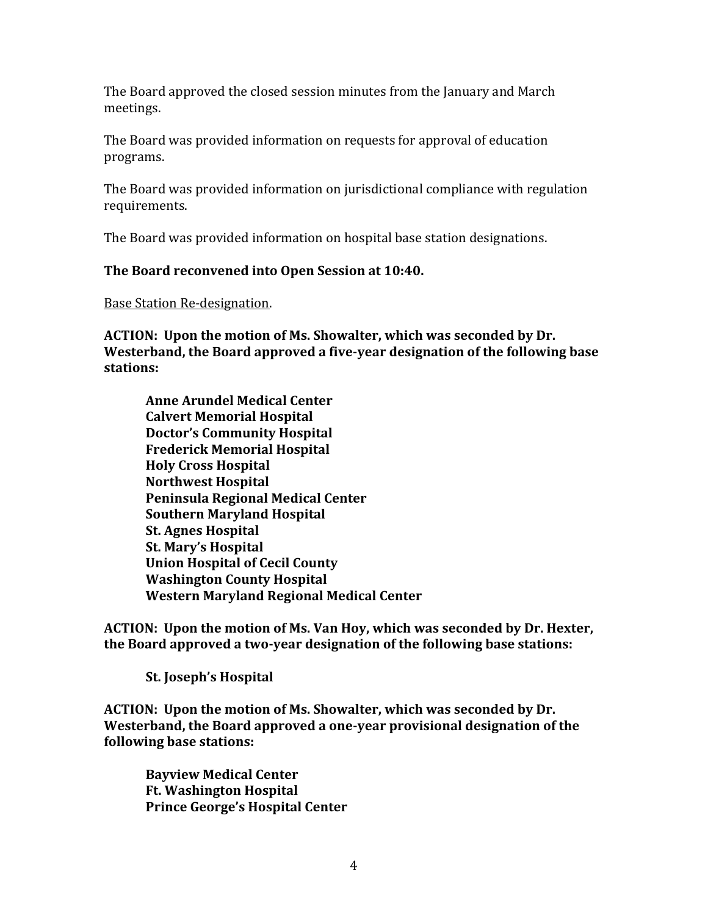The Board approved the closed session minutes from the January and March meetings.

The Board was provided information on requests for approval of education programs.

The Board was provided information on jurisdictional compliance with regulation requirements.

The Board was provided information on hospital base station designations.

### **The Board reconvened into Open Session at 10:40.**

Base Station Re-designation.

**ACTION: Upon the motion of Ms. Showalter, which was seconded by Dr. Westerband, the Board approved a five-year designation of the following base stations:**

**Anne Arundel Medical Center Calvert Memorial Hospital Doctor's Community Hospital Frederick Memorial Hospital Holy Cross Hospital Northwest Hospital Peninsula Regional Medical Center Southern Maryland Hospital St. Agnes Hospital St. Mary's Hospital Union Hospital of Cecil County Washington County Hospital Western Maryland Regional Medical Center**

**ACTION: Upon the motion of Ms. Van Hoy, which was seconded by Dr. Hexter, the Board approved a two-year designation of the following base stations:**

**St. Joseph's Hospital**

**ACTION: Upon the motion of Ms. Showalter, which was seconded by Dr. Westerband, the Board approved a one-year provisional designation of the following base stations:**

**Bayview Medical Center Ft. Washington Hospital Prince George's Hospital Center**